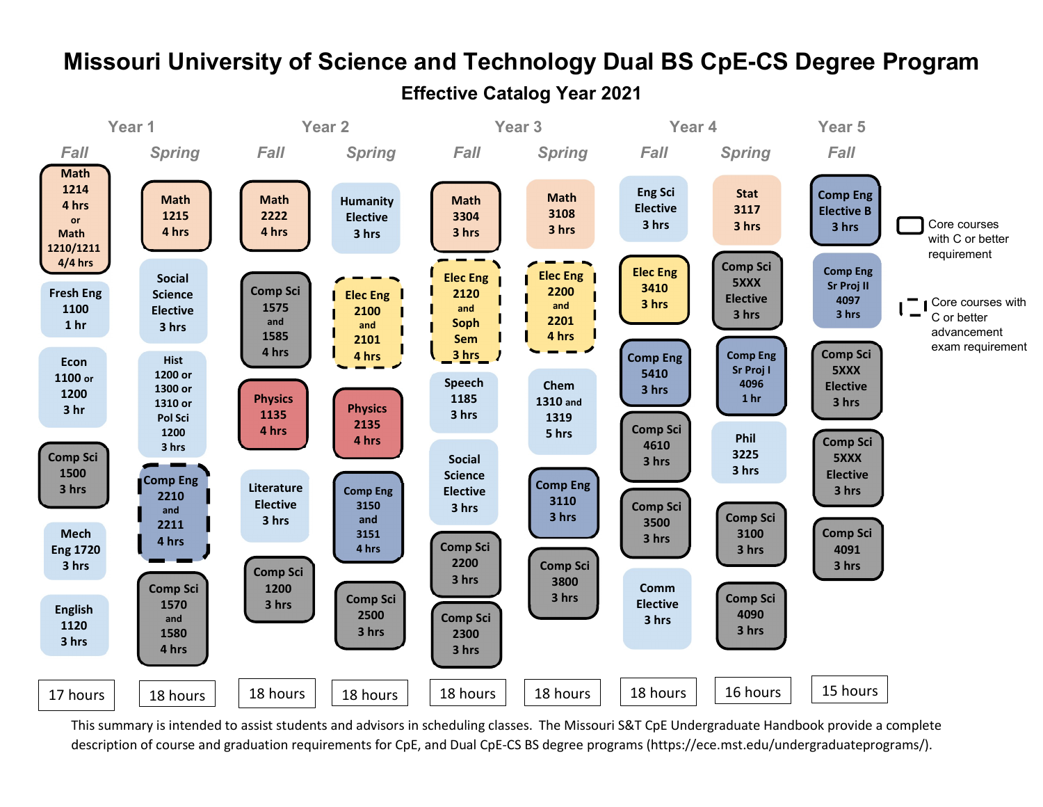

# Missouri University of Science and Technology Dual BS CpE-CS Degree Program Effective Catalog Year 2021

This summary is intended to assist students and advisors in scheduling classes. The Missouri S&T CpE Undergraduate Handbook provide a complete description of course and graduation requirements for CpE, and Dual CpE-CS BS degree programs (https://ece.mst.edu/undergraduateprograms/).